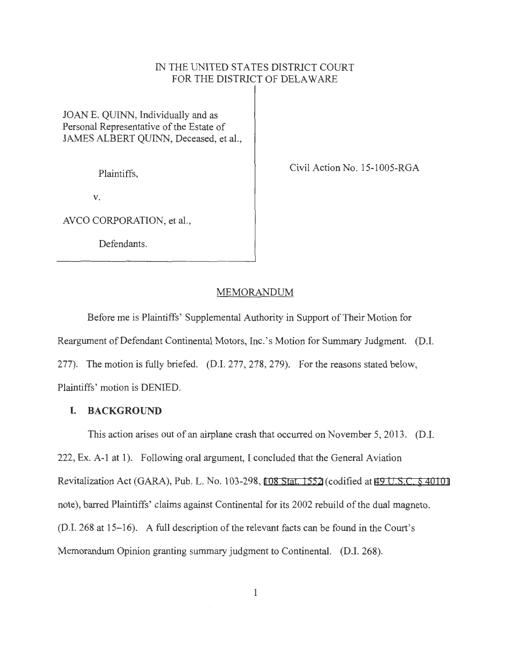# IN THE UNITED STATES DISTRICT COURT FOR THE DISTRICT OF DELAWARE

JOANE. QUINN, Individually and as Personal Representative of the Estate of JAMES ALBERT QUINN, Deceased, et al.,

Plaintiffs,

Civil Action No. 15-1005-RGA

V.

AVCO CORPORATION, et al.,

Defendants.

### MEMORANDUM

Before me is Plaintiffs' Supplemental Authority in Support of Their Motion for Reargument of Defendant Continental Motors, Inc.'s Motion for Summary Judgment. (D.I. 277). The motion is fully briefed. (D.I. 277,278,279). For the reasons stated below, Plaintiffs' motion is DENIED.

## **I. BACKGROUND**

This action arises out of an airplane crash that occurred on November 5, 2013. (D.I. 222, Ex. A-1 at 1). Following oral argument, I concluded that the General Aviation Revitalization Act (GARA), Pub. L. No. 103-298, [108 Stat. 1552](http://www.google.com/search?q=108+stat.+1552) (codified at [49 U.S.C. § 40101](http://www.google.com/search?q=49+u.s.c.++40101)  note), barred Plaintiffs' claims against Continental for its 2002 rebuild of the dual magneto. (D.I. 268 at 15-16). A full description of the relevant facts can be found in the Court's Memorandum Opinion granting summary judgment to Continental. (D.I. 268).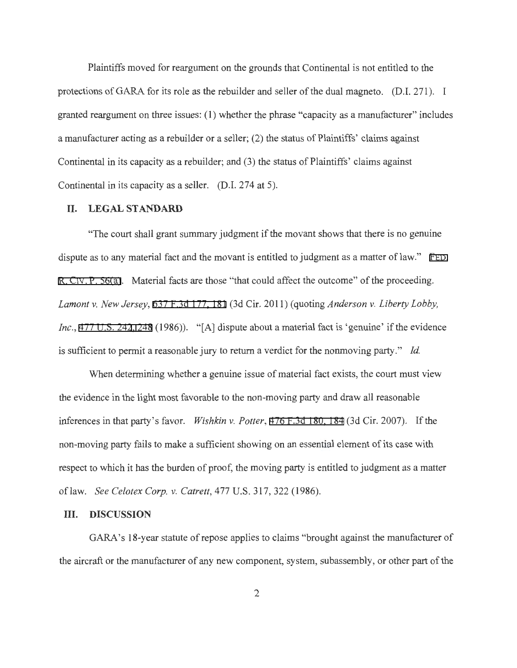Plaintiffs moved for reargument on the grounds that Continental is not entitled to the protections of GARA for its role as the rebuilder and seller of the dual magneto. (D.I. 271). I granted reargument on three issues: (1) whether the phrase "capacity as a manufacturer" includes a manufacturer acting as a rebuilder or a seller; (2) the status of Plaintiffs' claims against Continental in its capacity as a rebuilder; and (3) the status of Plaintiffs' claims against Continental in its capacity as a seller. (D.I. 274 at 5).

### **II. LEGAL STANDARD**

"The court shall grant summary judgment if the movant shows that there is no genuine dispute as to any material fact and the movant is entitled to judgment as a matter of law." FED. [R. CIV. P. 56\(a\)](http://www.google.com/search?q=FRCP+56(a)). Material facts are those "that could affect the outcome" of the proceeding. *Lamont v. New Jersey,* [637 F.3d 177, 181](http://scholar.google.com/scholar?q=637+f.3d+177&btnG=&hl=en&as_sdt=6) (3d Cir. 2011) (quoting *Anderson v. Liberty Lobby, Inc.*, [477 U.S. 242](http://www.google.com/search?q=477+u.s.+242)[,](http://scholar.google.com/scholar?q=477+u.s.+242&btnG=&hl=en&as_sdt=6) [248](http://www.google.com/search?q=248) (1986)). "[A] dispute about a material fact is 'genuine' if the evidence is sufficient to permit a reasonable jury to return a verdict for the nonmoving party." *Id.* 

When determining whether a genuine issue of material fact exists, the court must view the evidence in the light most favorable to the non-moving party and draw all reasonable inferences in that party's favor. *Wishkin v. Potter,* [476 F.3d 180, 184](http://scholar.google.com/scholar?q=476+f.3d+180&btnG=&hl=en&as_sdt=6) (3d Cir. 2007). If the non-moving party fails to make a sufficient showing on an essential element of its case with respect to which it has the burden of proof, the moving party is entitled to judgment as a matter oflaw. *See Celotex Corp. v. Catrett,* 4 77 U.S. 317, 322 (1986).

#### **III. DISCUSSION**

GARA's 18-year statute of repose applies to claims "brought against the manufacturer of the aircraft or the manufacturer of any new component, system, subassembly, or other part of the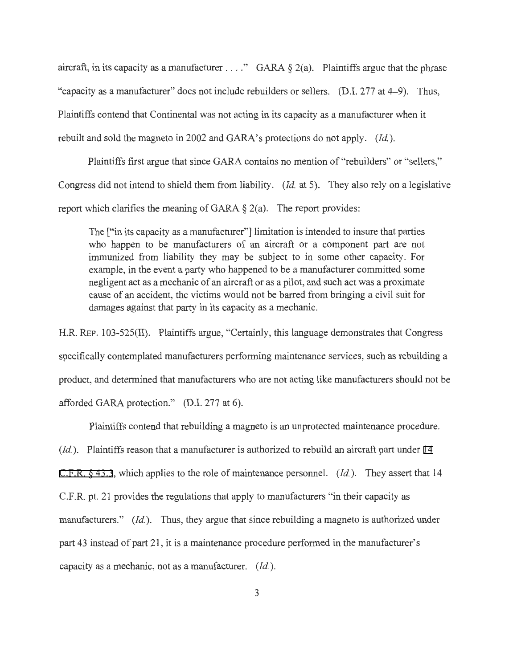aircraft, in its capacity as a manufacturer . . . ." GARA  $\S 2(a)$ . Plaintiffs argue that the phrase "capacity as a manufacturer" does not include rebuilders or sellers. (D.I. 277 at 4-9). Thus, Plaintiffs contend that Continental was not acting in its capacity as a manufacturer when it rebuilt and sold the magneto in 2002 and GARA's protections do not apply. *(Id.).* 

Plaintiffs first argue that since GARA contains no mention of "rebuilders" or "sellers," Congress did not intend to shield them from liability. *(Id.* at 5). They also rely on a legislative report which clarifies the meaning of GARA  $\S$  2(a). The report provides:

The ["in its capacity as a manufacturer"] limitation is intended to insure that parties who happen to be manufacturers of an aircraft or a component part are not immunized from liability they may be subject to in some other capacity. For example, in the event a party who happened to be a manufacturer committed some negligent act as a mechanic of an aircraft or as a pilot, and such act was a proximate cause of an accident, the victims would not be barred from bringing a civil suit for damages against that party in its capacity as a mechanic.

H.R. REP. 103-525(II). Plaintiffs argue, "Certainly, this language demonstrates that Congress specifically contemplated manufacturers performing maintenance services, such as rebuilding a product, and determined that manufacturers who are not acting like manufacturers should not be afforded GARA protection." (D.I. 277 at 6).

Plaintiffs contend that rebuilding a magneto is an unprotected maintenance procedure. *(Id.).* Plaintiffs reason that a manufacturer is authorized to rebuild an aircraft part under 14 [C.F.R. § 43.3](http://www.google.com/search?q=14+++c.f.r.++43.3), which applies to the role of maintenance personnel. *(Id.).* They assert that 14 C.F.R. pt. 21 provides the regulations that apply to manufacturers "in their capacity as manufacturers." *(Id.)*. Thus, they argue that since rebuilding a magneto is authorized under part 43 instead of part 21 , it is a maintenance procedure performed in the manufacturer's capacity as a mechanic, not as a manufacturer. *(Id. ).*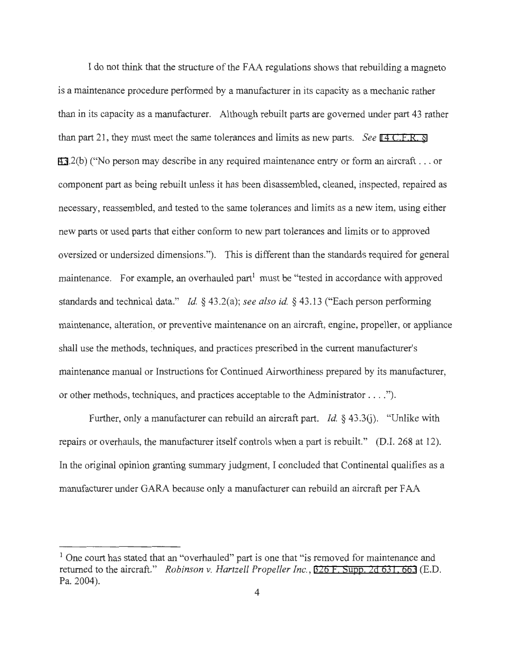I do not think that the structure of the FAA regulations shows that rebuilding a magneto is a maintenance procedure performed by a manufacturer in its capacity as a mechanic rather than in its capacity as a manufacturer. Although rebuilt parts are governed under part 43 rather than part 21 , they must meet the same tolerances and limits as new parts. *See* [14 C.F.R. §](http://www.google.com/search?q=14+c.f.r.+++43) [43](http://www.google.com/search?q=14+c.f.r.+++43) .2(b) ("No person may describe in any required maintenance entry or form an aircraft . .. or component part as being rebuilt unless it has been disassembled, cleaned, inspected, repaired as necessary, reassembled, and tested to the same tolerances and limits as a new item, using either new parts or used parts that either conform to new part tolerances and limits or to approved oversized or undersized dimensions."). This is different than the standards required for general maintenance. For example, an overhauled part<sup>1</sup> must be "tested in accordance with approved standards and technical data." *Id.* § 43.2(a); *see also id.* § 43.13 ("Each person performing maintenance, alteration, or preventive maintenance on an aircraft, engine, propeller, or appliance shall use the methods, techniques, and practices prescribed in the current manufacturer's maintenance manual or Instructions for Continued Airworthiness prepared by its manufacturer, or other methods, techniques, and practices acceptable to the Administrator .... ").

Further, only a manufacturer can rebuild an aircraft part. *Id.* § 43.3(j). "Unlike with repairs or overhauls, the manufacturer itself controls when a part is rebuilt." (D.I. 268 at 12). In the original opinion granting summary judgment, I concluded that Continental qualifies as a manufacturer under GARA because only a manufacturer can rebuild an aircraft per FAA

<sup>&</sup>lt;sup>1</sup> One court has stated that an "overhauled" part is one that "is removed for maintenance and returned to the aircraft." *Robinson v. Hartzell Propeller Inc. ,* [326 F. Supp. 2d 631](http://scholar.google.com/scholar?q=326++f.++supp.++2d++631&btnG=&hl=en&as_sdt=6) , 663 (E.D. Pa. 2004).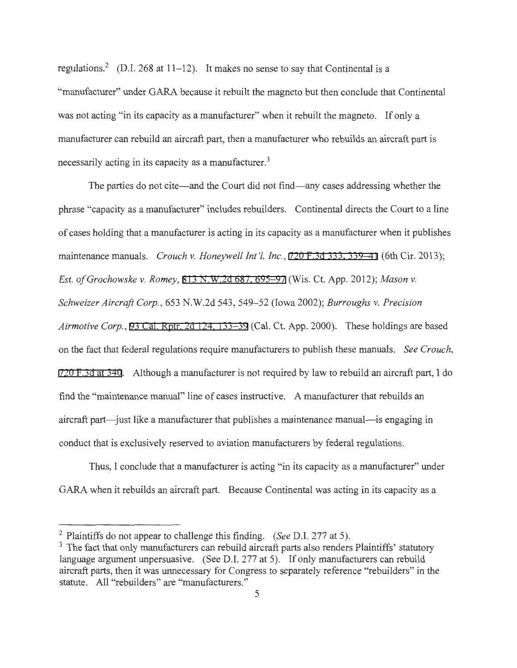regulations.<sup>2</sup> (D.I. 268 at  $11-12$ ). It makes no sense to say that Continental is a "manufacturer" under GARA because it rebuilt the magneto but then conclude that Continental was not acting "in its capacity as a manufacturer" when it rebuilt the magneto. If only a manufacturer can rebuild an aircraft part, then a manufacturer who rebuilds an aircraft part is necessarily acting in its capacity as a manufacturer.<sup>3</sup>

The parties do not cite—and the Court did not find—any cases addressing whether the phrase "capacity as a manufacturer" includes rebuilders. Continental directs the Court to a line of cases holding that a manufacturer is acting in its capacity as a manufacturer when it publishes maintenance manuals. *Crouch v. Honeywell Int '!, Inc.,* [720 F.3d 333, 339-41](http://scholar.google.com/scholar?q=720+f.3d+333&btnG=&hl=en&as_sdt=6) (6th Cir. 2013); *Est. ofGrochowske v. Romey,* [813 N.W.2d 687, 695-97](http://scholar.google.com/scholar?q=813+n.w.2d+687&btnG=&hl=en&as_sdt=6) (Wis. Ct. App. 2012); *Mason v. Schweizer Aircraft Corp.,* 653 N.W.2d 543, 549-52 (Iowa 2002); *Burroughs v. Precision Airmotive Corp.,* [93 Cal. Rptr. 2d 124, 133-39](http://scholar.google.com/scholar?q=93+cal.+rptr.+2d+124&btnG=&hl=en&as_sdt=6) (Cal. Ct. App. 2000). These holdings are based on the fact that federal regulations require manufacturers to publish these manuals. *See Crouch,*  [720 F.3d at 340](http://scholar.google.com/scholar?q=720+f.3d+333&btnG=&hl=en&as_sdt=6). Although a manufacturer is not required by law to rebuild an aircraft part, I do find the "maintenance manual" line of cases instructive. A manufacturer that rebuilds an aircraft part—just like a manufacturer that publishes a maintenance manual—is engaging in conduct that is exclusively reserved to aviation manufacturers by federal regulations.

Thus, I conclude that a manufacturer is acting "in its capacity as a manufacturer" under GARA when it rebuilds an aircraft part. Because Continental was acting in its capacity as a

<sup>&</sup>lt;sup>2</sup> Plaintiffs do not appear to challenge this finding. *(See D.I. 277 at 5)*.<br><sup>3</sup> The fact that only manufacturers can rebuild aircraft parts also renders Plaintiffs' statutory language argument unpersuasive. (See D.I. 277 at 5). If only manufacturers can rebuild aircraft parts, then it was unnecessary for Congress to separately reference "rebuilders" in the statute. All "rebuilders" are "manufacturers."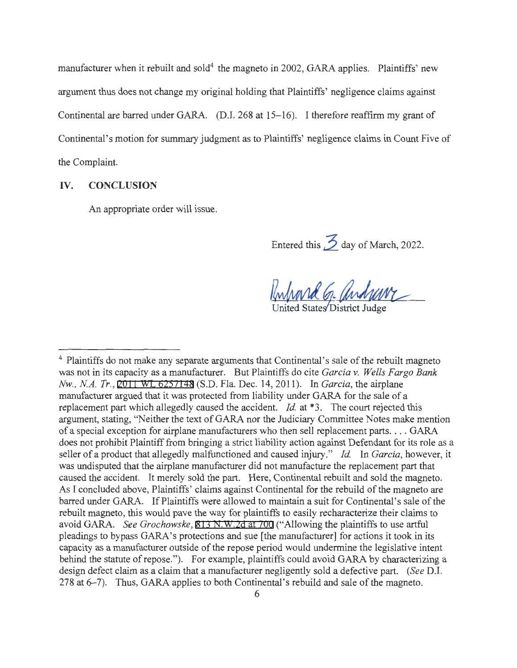manufacturer when it rebuilt and sold<sup>4</sup> the magneto in 2002, GARA applies. Plaintiffs' new argument thus does not change my original holding that Plaintiffs' negligence claims against Continental are barred under GARA. (D.I. 268 at 15-16). I therefore reaffirm my grant of Continental's motion for summary judgment as to Plaintiffs' negligence claims in Count Five of the Complaint.

### **IV. CONCLUSION**

An appropriate order will issue.

Entered this  $\cancel{\frac{3}{2}}$  day of March, 2022.

Kuhard G. andravy United States District Judge

<sup>&</sup>lt;sup>4</sup> Plaintiffs do not make any separate arguments that Continental's sale of the rebuilt magneto was not in its capacity as a manufacturer. But Plaintiffs do cite *Garcia v. Wells Fargo Bank Nw., NA. Tr.,* [2011 WL 6257148](https://www.westlaw.com/Link/Document/FullText?rs=USCLink&vr=3.0&findType=Y&cite=2011%2B%2Bwl%2B%2B6257148&refPos=6257148&refPosType=s&clientid=USCourts) (S.D. Fla. Dec. 14, 2011). In *Garcia,* the airplane manufacturer argued that it was protected from liability under GARA for the sale of a replacement part which allegedly caused the accident. *Id.* at \*3. The court rejected this argument, stating, "Neither the text of GARA nor the Judiciary Committee Notes make mention of a special exception for airplane manufacturers who then sell replacement parts . ... GARA does not prohibit Plaintiff from bringing a strict liability action against Defendant for its role as a seller of a product that allegedly malfunctioned and caused injury." *Id.* In *Garcia*, however, it was undisputed that the airplane manufacturer did not manufacture the replacement part that caused the accident. It merely sold the part. Here, Continental rebuilt and sold the magneto. As I concluded above, Plaintiffs' claims against Continental for the rebuild of the magneto are barred under GARA. If Plaintiffs were allowed to maintain a suit for Continental's sale of the rebuilt magneto, this would pave the way for plaintiffs to easily recharacterize their claims to avoid GARA. *See Grochowske,* [813 N.W.2d at 700](http://scholar.google.com/scholar?q=813+n.w.2d+687&btnG=&hl=en&as_sdt=6) ("Allowing the plaintiffs to use artful pleadings to bypass GARA's protections and sue [the manufacturer] for actions it took in its capacity as a manufacturer outside of the repose period would undermine the legislative intent behind the statute of repose."). For example, plaintiffs could avoid GARA by characterizing a design defect claim as a claim that a manufacturer negligently sold a defective part. *(See* D.I. 278 at 6-7). Thus, GARA applies to both Continental's rebuild and sale of the magneto.